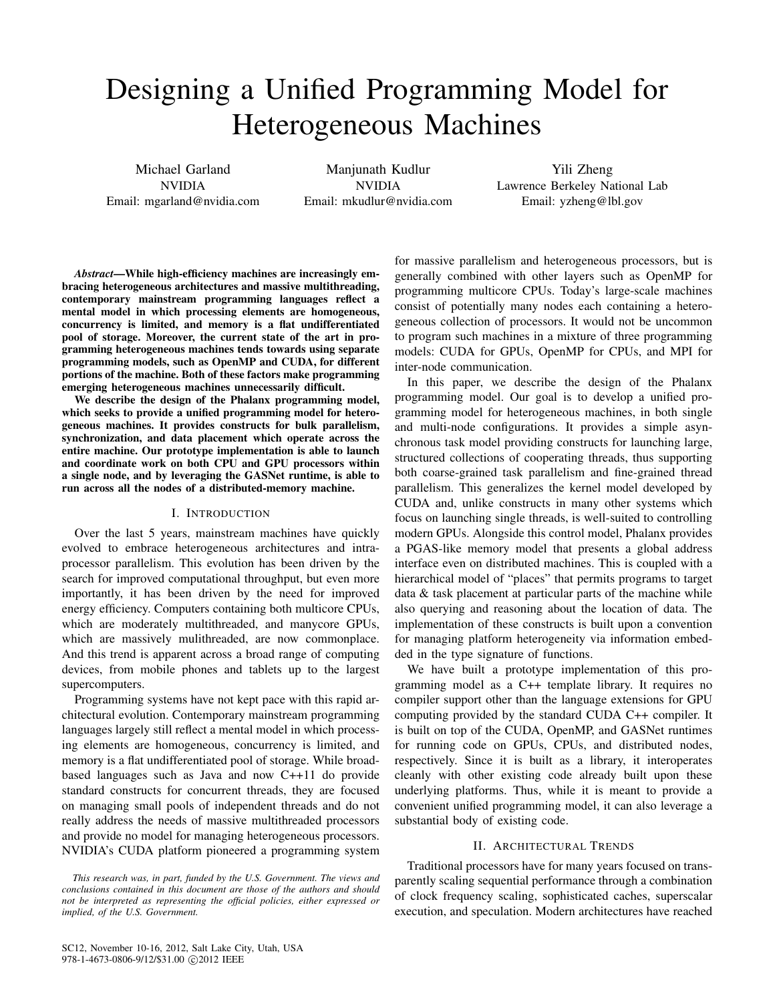# Designing a Unified Programming Model for Heterogeneous Machines

Michael Garland NVIDIA Email: mgarland@nvidia.com

Manjunath Kudlur NVIDIA Email: mkudlur@nvidia.com

Yili Zheng Lawrence Berkeley National Lab Email: yzheng@lbl.gov

*Abstract*—While high-efficiency machines are increasingly embracing heterogeneous architectures and massive multithreading, contemporary mainstream programming languages reflect a mental model in which processing elements are homogeneous, concurrency is limited, and memory is a flat undifferentiated pool of storage. Moreover, the current state of the art in programming heterogeneous machines tends towards using separate programming models, such as OpenMP and CUDA, for different portions of the machine. Both of these factors make programming emerging heterogeneous machines unnecessarily difficult.

We describe the design of the Phalanx programming model, which seeks to provide a unified programming model for heterogeneous machines. It provides constructs for bulk parallelism, synchronization, and data placement which operate across the entire machine. Our prototype implementation is able to launch and coordinate work on both CPU and GPU processors within a single node, and by leveraging the GASNet runtime, is able to run across all the nodes of a distributed-memory machine.

#### I. INTRODUCTION

Over the last 5 years, mainstream machines have quickly evolved to embrace heterogeneous architectures and intraprocessor parallelism. This evolution has been driven by the search for improved computational throughput, but even more importantly, it has been driven by the need for improved energy efficiency. Computers containing both multicore CPUs, which are moderately multithreaded, and manycore GPUs, which are massively mulithreaded, are now commonplace. And this trend is apparent across a broad range of computing devices, from mobile phones and tablets up to the largest supercomputers.

Programming systems have not kept pace with this rapid architectural evolution. Contemporary mainstream programming languages largely still reflect a mental model in which processing elements are homogeneous, concurrency is limited, and memory is a flat undifferentiated pool of storage. While broadbased languages such as Java and now C++11 do provide standard constructs for concurrent threads, they are focused on managing small pools of independent threads and do not really address the needs of massive multithreaded processors and provide no model for managing heterogeneous processors. NVIDIA's CUDA platform pioneered a programming system

*This research was, in part, funded by the U.S. Government. The views and conclusions contained in this document are those of the authors and should not be interpreted as representing the official policies, either expressed or implied, of the U.S. Government.*

for massive parallelism and heterogeneous processors, but is generally combined with other layers such as OpenMP for programming multicore CPUs. Today's large-scale machines consist of potentially many nodes each containing a heterogeneous collection of processors. It would not be uncommon to program such machines in a mixture of three programming models: CUDA for GPUs, OpenMP for CPUs, and MPI for inter-node communication.

In this paper, we describe the design of the Phalanx programming model. Our goal is to develop a unified programming model for heterogeneous machines, in both single and multi-node configurations. It provides a simple asynchronous task model providing constructs for launching large, structured collections of cooperating threads, thus supporting both coarse-grained task parallelism and fine-grained thread parallelism. This generalizes the kernel model developed by CUDA and, unlike constructs in many other systems which focus on launching single threads, is well-suited to controlling modern GPUs. Alongside this control model, Phalanx provides a PGAS-like memory model that presents a global address interface even on distributed machines. This is coupled with a hierarchical model of "places" that permits programs to target data & task placement at particular parts of the machine while also querying and reasoning about the location of data. The implementation of these constructs is built upon a convention for managing platform heterogeneity via information embedded in the type signature of functions.

We have built a prototype implementation of this programming model as a C++ template library. It requires no compiler support other than the language extensions for GPU computing provided by the standard CUDA C++ compiler. It is built on top of the CUDA, OpenMP, and GASNet runtimes for running code on GPUs, CPUs, and distributed nodes, respectively. Since it is built as a library, it interoperates cleanly with other existing code already built upon these underlying platforms. Thus, while it is meant to provide a convenient unified programming model, it can also leverage a substantial body of existing code.

# II. ARCHITECTURAL TRENDS

Traditional processors have for many years focused on transparently scaling sequential performance through a combination of clock frequency scaling, sophisticated caches, superscalar execution, and speculation. Modern architectures have reached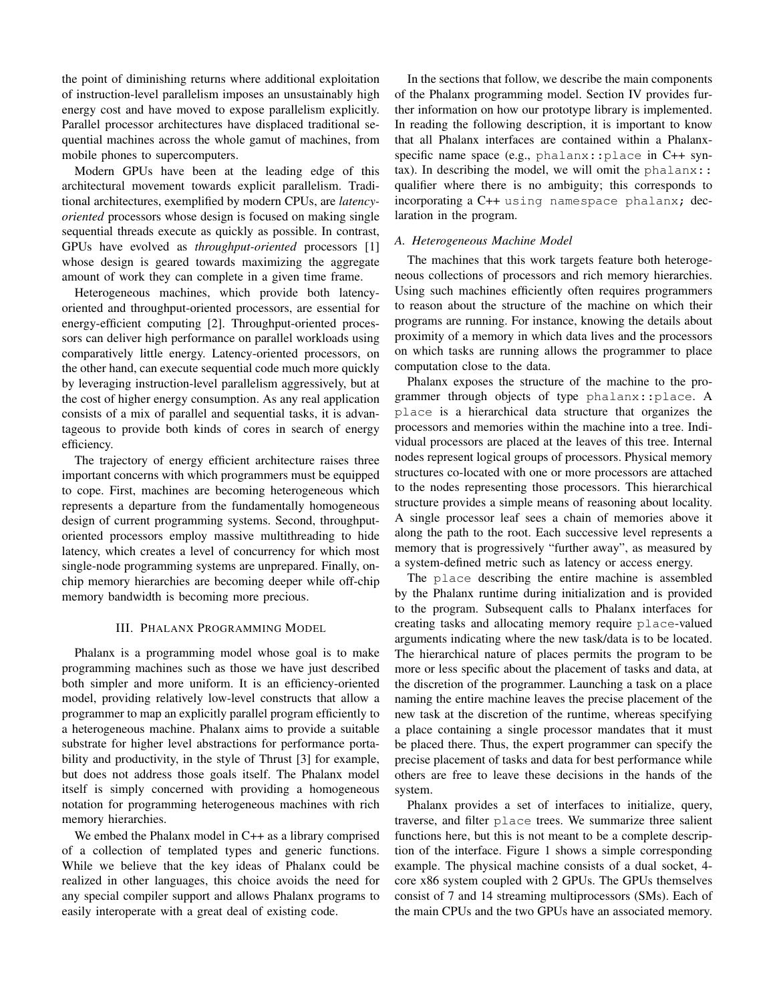the point of diminishing returns where additional exploitation of instruction-level parallelism imposes an unsustainably high energy cost and have moved to expose parallelism explicitly. Parallel processor architectures have displaced traditional sequential machines across the whole gamut of machines, from mobile phones to supercomputers.

Modern GPUs have been at the leading edge of this architectural movement towards explicit parallelism. Traditional architectures, exemplified by modern CPUs, are *latencyoriented* processors whose design is focused on making single sequential threads execute as quickly as possible. In contrast, GPUs have evolved as *throughput-oriented* processors [1] whose design is geared towards maximizing the aggregate amount of work they can complete in a given time frame.

Heterogeneous machines, which provide both latencyoriented and throughput-oriented processors, are essential for energy-efficient computing [2]. Throughput-oriented processors can deliver high performance on parallel workloads using comparatively little energy. Latency-oriented processors, on the other hand, can execute sequential code much more quickly by leveraging instruction-level parallelism aggressively, but at the cost of higher energy consumption. As any real application consists of a mix of parallel and sequential tasks, it is advantageous to provide both kinds of cores in search of energy efficiency.

The trajectory of energy efficient architecture raises three important concerns with which programmers must be equipped to cope. First, machines are becoming heterogeneous which represents a departure from the fundamentally homogeneous design of current programming systems. Second, throughputoriented processors employ massive multithreading to hide latency, which creates a level of concurrency for which most single-node programming systems are unprepared. Finally, onchip memory hierarchies are becoming deeper while off-chip memory bandwidth is becoming more precious.

# III. PHALANX PROGRAMMING MODEL

Phalanx is a programming model whose goal is to make programming machines such as those we have just described both simpler and more uniform. It is an efficiency-oriented model, providing relatively low-level constructs that allow a programmer to map an explicitly parallel program efficiently to a heterogeneous machine. Phalanx aims to provide a suitable substrate for higher level abstractions for performance portability and productivity, in the style of Thrust [3] for example, but does not address those goals itself. The Phalanx model itself is simply concerned with providing a homogeneous notation for programming heterogeneous machines with rich memory hierarchies.

We embed the Phalanx model in C++ as a library comprised of a collection of templated types and generic functions. While we believe that the key ideas of Phalanx could be realized in other languages, this choice avoids the need for any special compiler support and allows Phalanx programs to easily interoperate with a great deal of existing code.

In the sections that follow, we describe the main components of the Phalanx programming model. Section IV provides further information on how our prototype library is implemented. In reading the following description, it is important to know that all Phalanx interfaces are contained within a Phalanxspecific name space (e.g., phalanx:: place in C++ syntax). In describing the model, we will omit the phalanx:: qualifier where there is no ambiguity; this corresponds to incorporating a C++ using namespace phalanx; declaration in the program.

#### *A. Heterogeneous Machine Model*

The machines that this work targets feature both heterogeneous collections of processors and rich memory hierarchies. Using such machines efficiently often requires programmers to reason about the structure of the machine on which their programs are running. For instance, knowing the details about proximity of a memory in which data lives and the processors on which tasks are running allows the programmer to place computation close to the data.

Phalanx exposes the structure of the machine to the programmer through objects of type phalanx::place. A place is a hierarchical data structure that organizes the processors and memories within the machine into a tree. Individual processors are placed at the leaves of this tree. Internal nodes represent logical groups of processors. Physical memory structures co-located with one or more processors are attached to the nodes representing those processors. This hierarchical structure provides a simple means of reasoning about locality. A single processor leaf sees a chain of memories above it along the path to the root. Each successive level represents a memory that is progressively "further away", as measured by a system-defined metric such as latency or access energy.

The place describing the entire machine is assembled by the Phalanx runtime during initialization and is provided to the program. Subsequent calls to Phalanx interfaces for creating tasks and allocating memory require place-valued arguments indicating where the new task/data is to be located. The hierarchical nature of places permits the program to be more or less specific about the placement of tasks and data, at the discretion of the programmer. Launching a task on a place naming the entire machine leaves the precise placement of the new task at the discretion of the runtime, whereas specifying a place containing a single processor mandates that it must be placed there. Thus, the expert programmer can specify the precise placement of tasks and data for best performance while others are free to leave these decisions in the hands of the system.

Phalanx provides a set of interfaces to initialize, query, traverse, and filter place trees. We summarize three salient functions here, but this is not meant to be a complete description of the interface. Figure 1 shows a simple corresponding example. The physical machine consists of a dual socket, 4 core x86 system coupled with 2 GPUs. The GPUs themselves consist of 7 and 14 streaming multiprocessors (SMs). Each of the main CPUs and the two GPUs have an associated memory.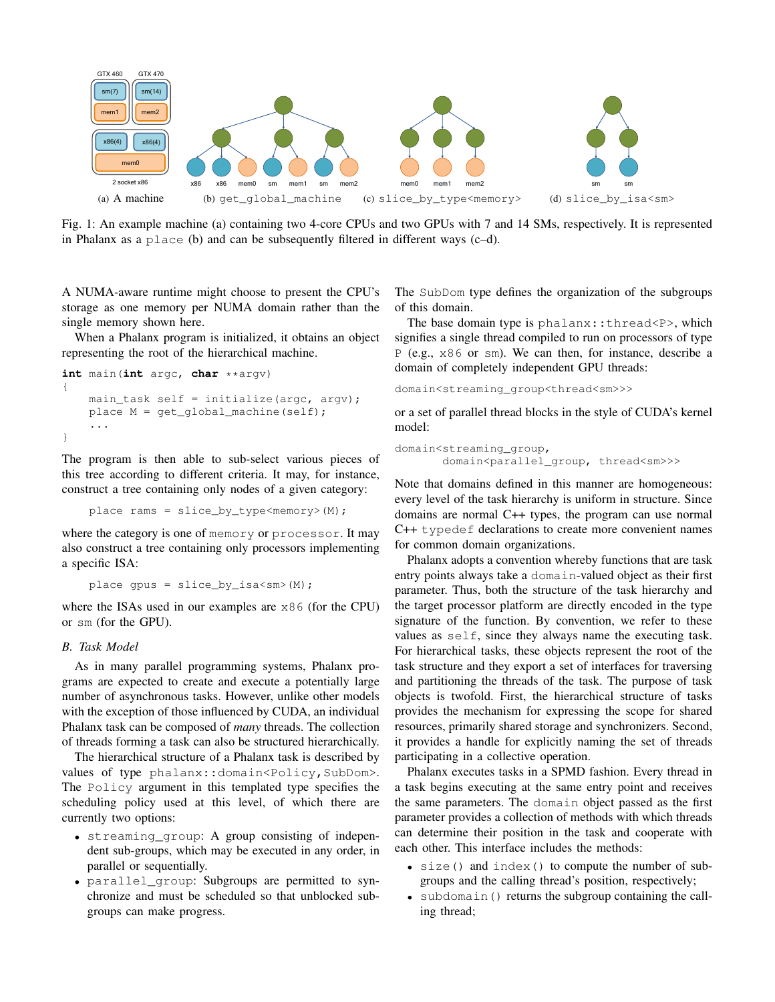

Fig. 1: An example machine (a) containing two 4-core CPUs and two GPUs with 7 and 14 SMs, respectively. It is represented in Phalanx as a place (b) and can be subsequently filtered in different ways  $(c-d)$ .

A NUMA-aware runtime might choose to present the CPU's storage as one memory per NUMA domain rather than the single memory shown here.

When a Phalanx program is initialized, it obtains an object representing the root of the hierarchical machine.

```
int main(int argc, char **argv)
{
   main_task self = initialize(argc, argv);
   place M = get_global_machine(self);
    ...
}
```
The program is then able to sub-select various pieces of this tree according to different criteria. It may, for instance, construct a tree containing only nodes of a given category:

```
place rams = slice_by_type<memory>(M);
```
where the category is one of memory or processor. It may also construct a tree containing only processors implementing a specific ISA:

```
place gpus = slice_by_isa<sm>(M);
```
where the ISAs used in our examples are x86 (for the CPU) or sm (for the GPU).

# *B. Task Model*

As in many parallel programming systems, Phalanx programs are expected to create and execute a potentially large number of asynchronous tasks. However, unlike other models with the exception of those influenced by CUDA, an individual Phalanx task can be composed of *many* threads. The collection of threads forming a task can also be structured hierarchically.

The hierarchical structure of a Phalanx task is described by values of type phalanx:: domain<Policy, SubDom>. The Policy argument in this templated type specifies the scheduling policy used at this level, of which there are currently two options:

- streaming\_group: A group consisting of independent sub-groups, which may be executed in any order, in parallel or sequentially.
- parallel group: Subgroups are permitted to synchronize and must be scheduled so that unblocked subgroups can make progress.

The SubDom type defines the organization of the subgroups of this domain.

The base domain type is phalanx::thread<P>, which signifies a single thread compiled to run on processors of type P (e.g., x86 or sm). We can then, for instance, describe a domain of completely independent GPU threads:

domain<streaming\_group<thread<sm>>>

or a set of parallel thread blocks in the style of CUDA's kernel model:

```
domain<streaming_group,
       domain<parallel_group, thread<sm>>>
```
Note that domains defined in this manner are homogeneous: every level of the task hierarchy is uniform in structure. Since domains are normal C++ types, the program can use normal C++ typedef declarations to create more convenient names for common domain organizations.

Phalanx adopts a convention whereby functions that are task entry points always take a domain-valued object as their first parameter. Thus, both the structure of the task hierarchy and the target processor platform are directly encoded in the type signature of the function. By convention, we refer to these values as self, since they always name the executing task. For hierarchical tasks, these objects represent the root of the task structure and they export a set of interfaces for traversing and partitioning the threads of the task. The purpose of task objects is twofold. First, the hierarchical structure of tasks provides the mechanism for expressing the scope for shared resources, primarily shared storage and synchronizers. Second, it provides a handle for explicitly naming the set of threads participating in a collective operation.

Phalanx executes tasks in a SPMD fashion. Every thread in a task begins executing at the same entry point and receives the same parameters. The domain object passed as the first parameter provides a collection of methods with which threads can determine their position in the task and cooperate with each other. This interface includes the methods:

- size() and index() to compute the number of subgroups and the calling thread's position, respectively;
- subdomain() returns the subgroup containing the calling thread;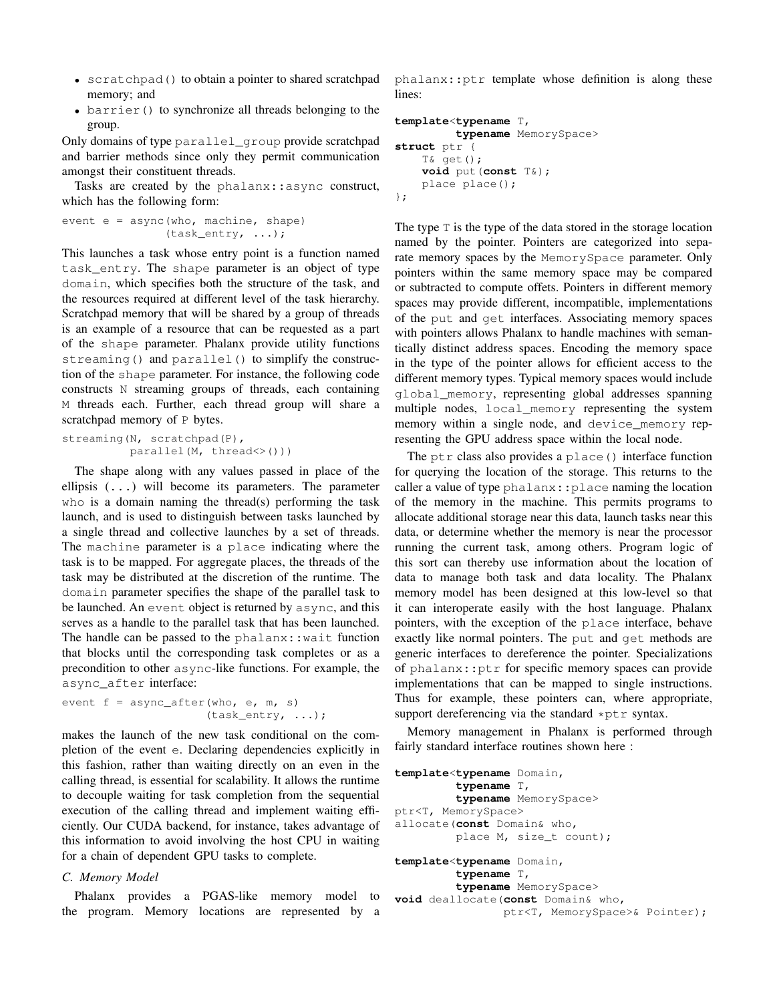- scratchpad() to obtain a pointer to shared scratchpad memory; and
- barrier() to synchronize all threads belonging to the group.

Only domains of type parallel\_group provide scratchpad and barrier methods since only they permit communication amongst their constituent threads.

Tasks are created by the phalanx::async construct, which has the following form:

```
event e = async(who, machine, shape)
               (task_entry, ...);
```
This launches a task whose entry point is a function named task\_entry. The shape parameter is an object of type domain, which specifies both the structure of the task, and the resources required at different level of the task hierarchy. Scratchpad memory that will be shared by a group of threads is an example of a resource that can be requested as a part of the shape parameter. Phalanx provide utility functions streaming() and parallel() to simplify the construction of the shape parameter. For instance, the following code constructs N streaming groups of threads, each containing M threads each. Further, each thread group will share a scratchpad memory of P bytes.

```
streaming(N, scratchpad(P),
          parallel(M, thread<>()))
```
The shape along with any values passed in place of the ellipsis  $( \ldots )$  will become its parameters. The parameter who is a domain naming the thread(s) performing the task launch, and is used to distinguish between tasks launched by a single thread and collective launches by a set of threads. The machine parameter is a place indicating where the task is to be mapped. For aggregate places, the threads of the task may be distributed at the discretion of the runtime. The domain parameter specifies the shape of the parallel task to be launched. An event object is returned by async, and this serves as a handle to the parallel task that has been launched. The handle can be passed to the phalanx::wait function that blocks until the corresponding task completes or as a precondition to other async-like functions. For example, the async\_after interface:

```
event f = async_after(who, e, m, s)
                      (task_entry, ...);
```
makes the launch of the new task conditional on the completion of the event e. Declaring dependencies explicitly in this fashion, rather than waiting directly on an even in the calling thread, is essential for scalability. It allows the runtime to decouple waiting for task completion from the sequential execution of the calling thread and implement waiting efficiently. Our CUDA backend, for instance, takes advantage of this information to avoid involving the host CPU in waiting for a chain of dependent GPU tasks to complete.

## *C. Memory Model*

Phalanx provides a PGAS-like memory model to the program. Memory locations are represented by a phalanx::ptr template whose definition is along these lines:

```
template<typename T,
         typename MemorySpace>
struct ptr {
    T& get();
    void put(const T&);
    place place();
};
```
The type  $T$  is the type of the data stored in the storage location named by the pointer. Pointers are categorized into separate memory spaces by the MemorySpace parameter. Only pointers within the same memory space may be compared or subtracted to compute offets. Pointers in different memory spaces may provide different, incompatible, implementations of the put and get interfaces. Associating memory spaces with pointers allows Phalanx to handle machines with semantically distinct address spaces. Encoding the memory space in the type of the pointer allows for efficient access to the different memory types. Typical memory spaces would include global\_memory, representing global addresses spanning multiple nodes, local\_memory representing the system memory within a single node, and device memory representing the GPU address space within the local node.

The ptr class also provides a place () interface function for querying the location of the storage. This returns to the caller a value of type phalanx::place naming the location of the memory in the machine. This permits programs to allocate additional storage near this data, launch tasks near this data, or determine whether the memory is near the processor running the current task, among others. Program logic of this sort can thereby use information about the location of data to manage both task and data locality. The Phalanx memory model has been designed at this low-level so that it can interoperate easily with the host language. Phalanx pointers, with the exception of the place interface, behave exactly like normal pointers. The put and get methods are generic interfaces to dereference the pointer. Specializations of phalanx::ptr for specific memory spaces can provide implementations that can be mapped to single instructions. Thus for example, these pointers can, where appropriate, support dereferencing via the standard  $\star$ ptr syntax.

Memory management in Phalanx is performed through fairly standard interface routines shown here :

```
template<typename Domain,
         typename T,
         typename MemorySpace>
ptr<T, MemorySpace>
allocate(const Domain& who,
         place M, size_t count);
template<typename Domain,
         typename T,
         typename MemorySpace>
void deallocate(const Domain& who,
                ptr<T, MemorySpace>& Pointer);
```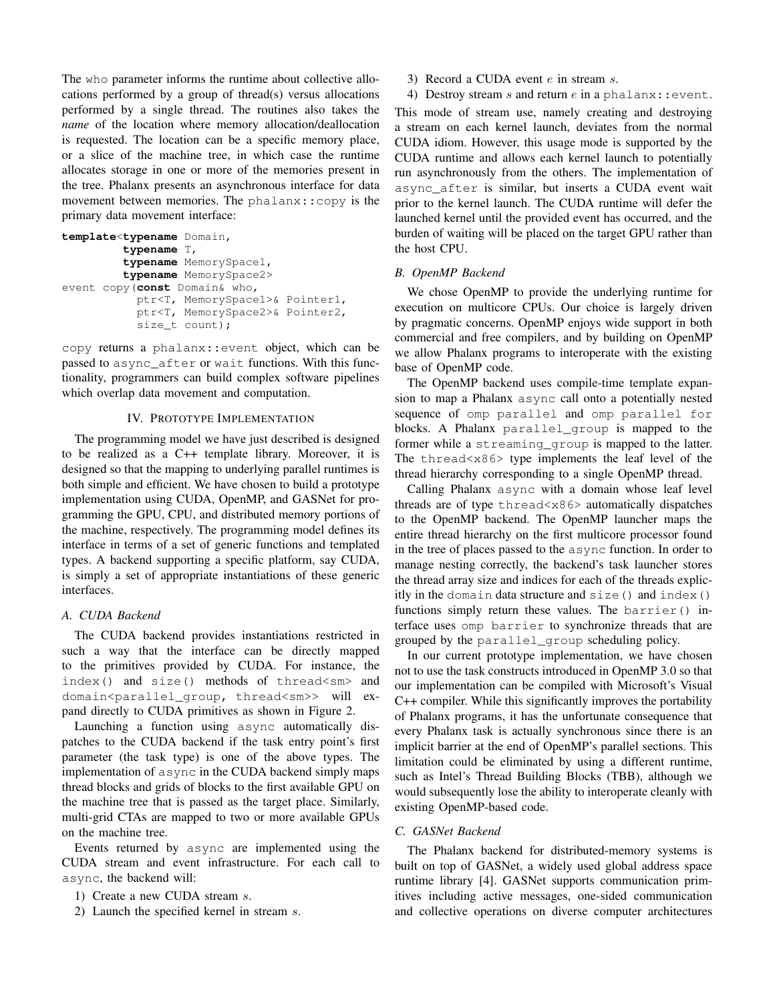The who parameter informs the runtime about collective allocations performed by a group of thread(s) versus allocations performed by a single thread. The routines also takes the *name* of the location where memory allocation/deallocation is requested. The location can be a specific memory place, or a slice of the machine tree, in which case the runtime allocates storage in one or more of the memories present in the tree. Phalanx presents an asynchronous interface for data movement between memories. The phalanx::copy is the primary data movement interface:

```
template<typename Domain,
         typename T,
         typename MemorySpace1,
         typename MemorySpace2>
event copy(const Domain& who,
           ptr<T, MemorySpace1>& Pointer1,
           ptr<T, MemorySpace2>& Pointer2,
           size_t count);
```
copy returns a phalanx::event object, which can be passed to async\_after or wait functions. With this functionality, programmers can build complex software pipelines which overlap data movement and computation.

# IV. PROTOTYPE IMPLEMENTATION

The programming model we have just described is designed to be realized as a C++ template library. Moreover, it is designed so that the mapping to underlying parallel runtimes is both simple and efficient. We have chosen to build a prototype implementation using CUDA, OpenMP, and GASNet for programming the GPU, CPU, and distributed memory portions of the machine, respectively. The programming model defines its interface in terms of a set of generic functions and templated types. A backend supporting a specific platform, say CUDA, is simply a set of appropriate instantiations of these generic interfaces.

# *A. CUDA Backend*

The CUDA backend provides instantiations restricted in such a way that the interface can be directly mapped to the primitives provided by CUDA. For instance, the index() and size() methods of thread<sm> and domain<parallel\_group, thread<sm>> will expand directly to CUDA primitives as shown in Figure 2.

Launching a function using async automatically dispatches to the CUDA backend if the task entry point's first parameter (the task type) is one of the above types. The implementation of async in the CUDA backend simply maps thread blocks and grids of blocks to the first available GPU on the machine tree that is passed as the target place. Similarly, multi-grid CTAs are mapped to two or more available GPUs on the machine tree.

Events returned by async are implemented using the CUDA stream and event infrastructure. For each call to async, the backend will:

- 1) Create a new CUDA stream s.
- 2) Launch the specified kernel in stream s.
- 3) Record a CUDA event  $e$  in stream  $s$ .
- 4) Destroy stream  $s$  and return  $e$  in a phalanx: : event.

This mode of stream use, namely creating and destroying a stream on each kernel launch, deviates from the normal CUDA idiom. However, this usage mode is supported by the CUDA runtime and allows each kernel launch to potentially run asynchronously from the others. The implementation of async\_after is similar, but inserts a CUDA event wait prior to the kernel launch. The CUDA runtime will defer the launched kernel until the provided event has occurred, and the burden of waiting will be placed on the target GPU rather than the host CPU.

# *B. OpenMP Backend*

We chose OpenMP to provide the underlying runtime for execution on multicore CPUs. Our choice is largely driven by pragmatic concerns. OpenMP enjoys wide support in both commercial and free compilers, and by building on OpenMP we allow Phalanx programs to interoperate with the existing base of OpenMP code.

The OpenMP backend uses compile-time template expansion to map a Phalanx async call onto a potentially nested sequence of omp parallel and omp parallel for blocks. A Phalanx parallel\_group is mapped to the former while a streaming group is mapped to the latter. The thread<x86> type implements the leaf level of the thread hierarchy corresponding to a single OpenMP thread.

Calling Phalanx async with a domain whose leaf level threads are of type thread<x86> automatically dispatches to the OpenMP backend. The OpenMP launcher maps the entire thread hierarchy on the first multicore processor found in the tree of places passed to the async function. In order to manage nesting correctly, the backend's task launcher stores the thread array size and indices for each of the threads explicitly in the domain data structure and size() and index() functions simply return these values. The barrier() interface uses omp barrier to synchronize threads that are grouped by the parallel\_group scheduling policy.

In our current prototype implementation, we have chosen not to use the task constructs introduced in OpenMP 3.0 so that our implementation can be compiled with Microsoft's Visual C++ compiler. While this significantly improves the portability of Phalanx programs, it has the unfortunate consequence that every Phalanx task is actually synchronous since there is an implicit barrier at the end of OpenMP's parallel sections. This limitation could be eliminated by using a different runtime, such as Intel's Thread Building Blocks (TBB), although we would subsequently lose the ability to interoperate cleanly with existing OpenMP-based code.

#### *C. GASNet Backend*

The Phalanx backend for distributed-memory systems is built on top of GASNet, a widely used global address space runtime library [4]. GASNet supports communication primitives including active messages, one-sided communication and collective operations on diverse computer architectures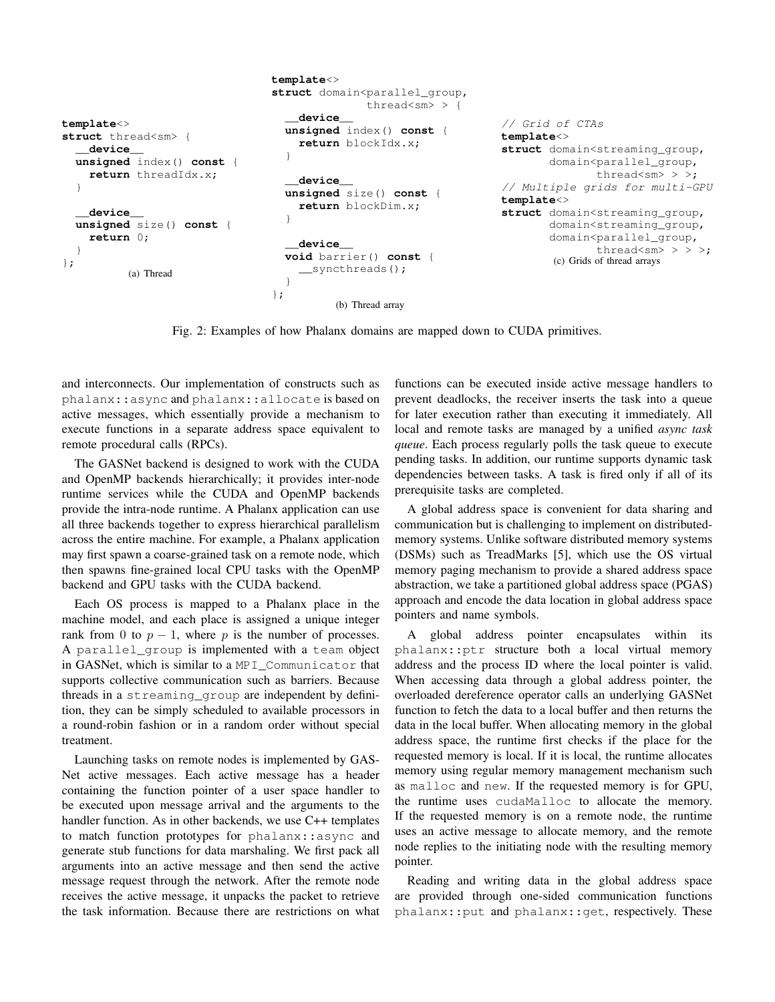```
template<>
struct thread<sm> {
   __device__
  unsigned index() const {
    return threadIdx.x;
  }
    __device__
  unsigned size() const {
    return 0;
  }
};
          (a) Thread
                                  template<>
                                  struct domain<parallel_group,
                                                 thread<sm> > {
                                      __device__
                                    unsigned index() const {
                                      return blockIdx.x;
                                    }
                                      __device__
                                    unsigned size() const {
                                      return blockDim.x;
                                    }
                                      __device__
                                    void barrier() const {
                                       __syncthreads();
                                    }
                                  };
                                            (b) Thread array
                                                                        // Grid of CTAs
                                                                        template<>
                                                                        struct domain<streaming_group,
                                                                               domain<parallel_group,
                                                                                       thread<sm> > >;
                                                                        // Multiple grids for multi-GPU
                                                                        template<>
                                                                        struct domain<streaming_group,
                                                                               domain<streaming_group,
                                                                               domain<parallel_group,
                                                                                       thread<sm> > > >;
                                                                                (c) Grids of thread arrays
```
Fig. 2: Examples of how Phalanx domains are mapped down to CUDA primitives.

and interconnects. Our implementation of constructs such as phalanx::async and phalanx::allocate is based on active messages, which essentially provide a mechanism to execute functions in a separate address space equivalent to remote procedural calls (RPCs).

The GASNet backend is designed to work with the CUDA and OpenMP backends hierarchically; it provides inter-node runtime services while the CUDA and OpenMP backends provide the intra-node runtime. A Phalanx application can use all three backends together to express hierarchical parallelism across the entire machine. For example, a Phalanx application may first spawn a coarse-grained task on a remote node, which then spawns fine-grained local CPU tasks with the OpenMP backend and GPU tasks with the CUDA backend.

Each OS process is mapped to a Phalanx place in the machine model, and each place is assigned a unique integer rank from 0 to  $p-1$ , where p is the number of processes. A parallel group is implemented with a team object in GASNet, which is similar to a MPI\_Communicator that supports collective communication such as barriers. Because threads in a streaming\_group are independent by definition, they can be simply scheduled to available processors in a round-robin fashion or in a random order without special treatment.

Launching tasks on remote nodes is implemented by GAS-Net active messages. Each active message has a header containing the function pointer of a user space handler to be executed upon message arrival and the arguments to the handler function. As in other backends, we use C++ templates to match function prototypes for phalanx::async and generate stub functions for data marshaling. We first pack all arguments into an active message and then send the active message request through the network. After the remote node receives the active message, it unpacks the packet to retrieve the task information. Because there are restrictions on what functions can be executed inside active message handlers to prevent deadlocks, the receiver inserts the task into a queue for later execution rather than executing it immediately. All local and remote tasks are managed by a unified *async task queue*. Each process regularly polls the task queue to execute pending tasks. In addition, our runtime supports dynamic task dependencies between tasks. A task is fired only if all of its prerequisite tasks are completed.

A global address space is convenient for data sharing and communication but is challenging to implement on distributedmemory systems. Unlike software distributed memory systems (DSMs) such as TreadMarks [5], which use the OS virtual memory paging mechanism to provide a shared address space abstraction, we take a partitioned global address space (PGAS) approach and encode the data location in global address space pointers and name symbols.

A global address pointer encapsulates within its phalanx::ptr structure both a local virtual memory address and the process ID where the local pointer is valid. When accessing data through a global address pointer, the overloaded dereference operator calls an underlying GASNet function to fetch the data to a local buffer and then returns the data in the local buffer. When allocating memory in the global address space, the runtime first checks if the place for the requested memory is local. If it is local, the runtime allocates memory using regular memory management mechanism such as malloc and new. If the requested memory is for GPU, the runtime uses cudaMalloc to allocate the memory. If the requested memory is on a remote node, the runtime uses an active message to allocate memory, and the remote node replies to the initiating node with the resulting memory pointer.

Reading and writing data in the global address space are provided through one-sided communication functions phalanx::put and phalanx::get, respectively. These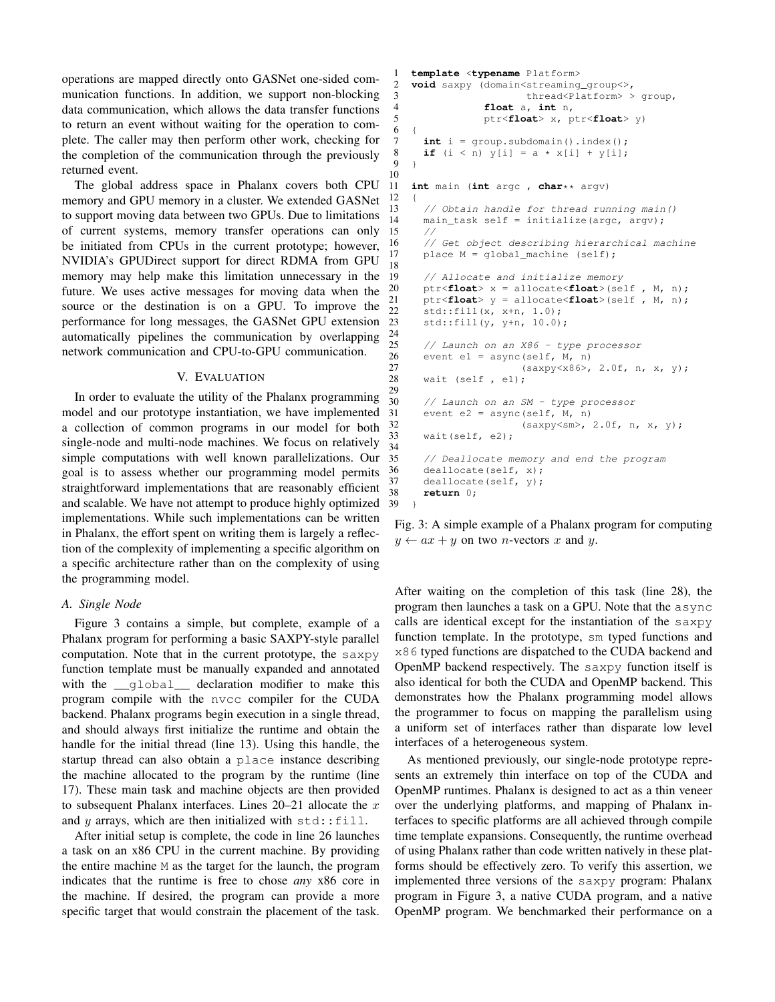operations are mapped directly onto GASNet one-sided communication functions. In addition, we support non-blocking data communication, which allows the data transfer functions to return an event without waiting for the operation to complete. The caller may then perform other work, checking for the completion of the communication through the previously returned event.

The global address space in Phalanx covers both CPU memory and GPU memory in a cluster. We extended GASNet to support moving data between two GPUs. Due to limitations of current systems, memory transfer operations can only be initiated from CPUs in the current prototype; however, NVIDIA's GPUDirect support for direct RDMA from GPU memory may help make this limitation unnecessary in the future. We uses active messages for moving data when the source or the destination is on a GPU. To improve the performance for long messages, the GASNet GPU extension automatically pipelines the communication by overlapping network communication and CPU-to-GPU communication.

# V. EVALUATION

In order to evaluate the utility of the Phalanx programming model and our prototype instantiation, we have implemented a collection of common programs in our model for both single-node and multi-node machines. We focus on relatively simple computations with well known parallelizations. Our goal is to assess whether our programming model permits straightforward implementations that are reasonably efficient and scalable. We have not attempt to produce highly optimized implementations. While such implementations can be written in Phalanx, the effort spent on writing them is largely a reflection of the complexity of implementing a specific algorithm on a specific architecture rather than on the complexity of using the programming model.

# *A. Single Node*

Figure 3 contains a simple, but complete, example of a Phalanx program for performing a basic SAXPY-style parallel computation. Note that in the current prototype, the saxpy function template must be manually expanded and annotated with the qlobal declaration modifier to make this program compile with the nvcc compiler for the CUDA backend. Phalanx programs begin execution in a single thread, and should always first initialize the runtime and obtain the handle for the initial thread (line 13). Using this handle, the startup thread can also obtain a place instance describing the machine allocated to the program by the runtime (line 17). These main task and machine objects are then provided to subsequent Phalanx interfaces. Lines  $20-21$  allocate the x and  $y$  arrays, which are then initialized with  $std$ :: $fill.$ 

After initial setup is complete, the code in line 26 launches a task on an x86 CPU in the current machine. By providing the entire machine M as the target for the launch, the program indicates that the runtime is free to chose *any* x86 core in the machine. If desired, the program can provide a more specific target that would constrain the placement of the task.

```
1 template <typename Platform>
    void saxpy (domain<streaming_group<>,
 3 thread<Platform> > group,
 4 float a, int n,
 5 ptr<float> x, ptr<float> y)
 \begin{matrix} 6 & 6 \\ 7 & 6 \end{matrix}int i = \text{group}.subdomain() .index();
 8 if (i < n) y[i] = a * x[i] + y[i];<br>9 }
    9 }
11 int main (int argc , char** argv)
13 // Obtain handle for thread running main()<br>14 main task self = initialize (argo, argy):
      main<sub>task</sub> self = initialize(argc, argv);
15 //
16 // Get object describing hierarchical machine
17 place M = global_machine (self);
      // Allocate and initialize memory
20 ptr<float> x = allocate<float>(self , M, n);
21 ptr<float> y = \text{alloc}cfloat>(self , M, n);<br>22 std:fill(x, x+n, 1 0);
      stat:fill(x, x+n, 1.0);
23 std::fill(y, y+n, 10.0);
      // Launch on an X86 - type processor
26 event e1 = async(self, M, n)<br>27 (saxpy<x86>.
                        (saxpy<x86>, 2.0f, n, x, y);
28 wait (self , e1);
29<br>30
      // Launch on an SM - type processor
31 event e2 = async(self, M, n)32 (saxpy<sm>, 2.0f, n, x, y);
33 wait(self, e2);
      // Deallocate memory and end the program
36 deallocate(self, x);<br>37 deallocate(self, v);
      deallocate(self, y);
38 return 0;
```
10

12 {

 $\frac{18}{19}$ 

 $\frac{24}{25}$ 

 $34$ <br>35

39 }

Fig. 3: A simple example of a Phalanx program for computing  $y \leftarrow ax + y$  on two *n*-vectors x and y.

After waiting on the completion of this task (line 28), the program then launches a task on a GPU. Note that the async calls are identical except for the instantiation of the saxpy function template. In the prototype, sm typed functions and x86 typed functions are dispatched to the CUDA backend and OpenMP backend respectively. The saxpy function itself is also identical for both the CUDA and OpenMP backend. This demonstrates how the Phalanx programming model allows the programmer to focus on mapping the parallelism using a uniform set of interfaces rather than disparate low level interfaces of a heterogeneous system.

As mentioned previously, our single-node prototype represents an extremely thin interface on top of the CUDA and OpenMP runtimes. Phalanx is designed to act as a thin veneer over the underlying platforms, and mapping of Phalanx interfaces to specific platforms are all achieved through compile time template expansions. Consequently, the runtime overhead of using Phalanx rather than code written natively in these platforms should be effectively zero. To verify this assertion, we implemented three versions of the saxpy program: Phalanx program in Figure 3, a native CUDA program, and a native OpenMP program. We benchmarked their performance on a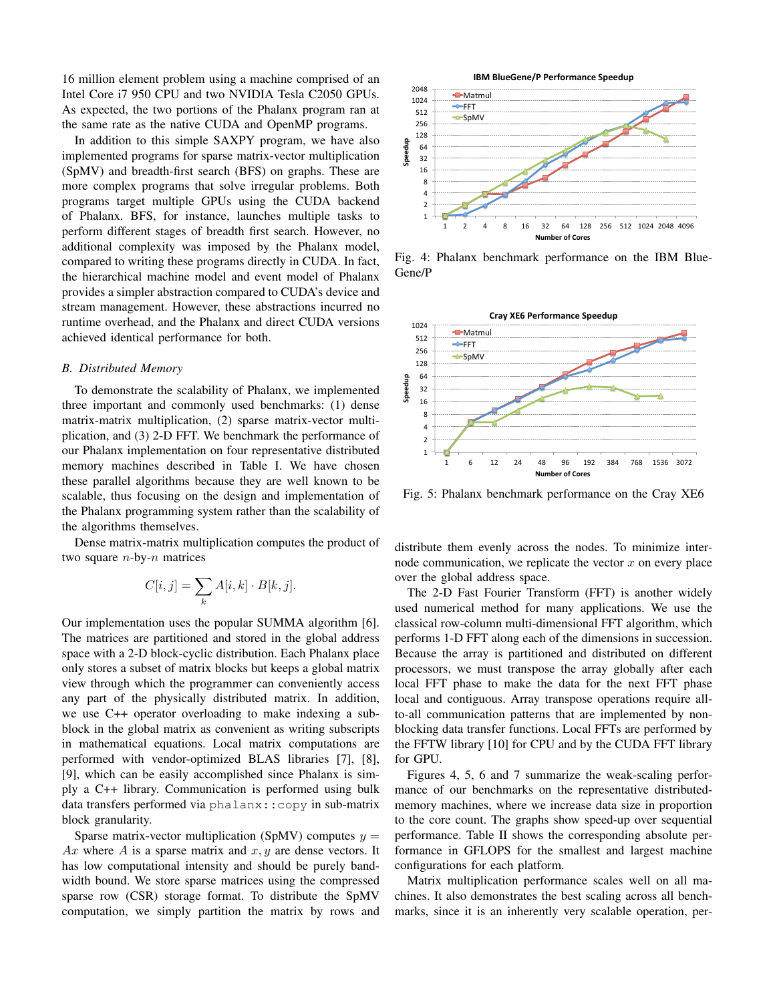16 million element problem using a machine comprised of an Intel Core i7 950 CPU and two NVIDIA Tesla C2050 GPUs. As expected, the two portions of the Phalanx program ran at the same rate as the native CUDA and OpenMP programs.

In addition to this simple SAXPY program, we have also implemented programs for sparse matrix-vector multiplication (SpMV) and breadth-first search (BFS) on graphs. These are more complex programs that solve irregular problems. Both programs target multiple GPUs using the CUDA backend of Phalanx. BFS, for instance, launches multiple tasks to perform different stages of breadth first search. However, no additional complexity was imposed by the Phalanx model, compared to writing these programs directly in CUDA. In fact, the hierarchical machine model and event model of Phalanx provides a simpler abstraction compared to CUDA's device and stream management. However, these abstractions incurred no runtime overhead, and the Phalanx and direct CUDA versions achieved identical performance for both.

#### *B. Distributed Memory*

To demonstrate the scalability of Phalanx, we implemented three important and commonly used benchmarks: (1) dense matrix-matrix multiplication, (2) sparse matrix-vector multiplication, and (3) 2-D FFT. We benchmark the performance of our Phalanx implementation on four representative distributed memory machines described in Table I. We have chosen these parallel algorithms because they are well known to be scalable, thus focusing on the design and implementation of the Phalanx programming system rather than the scalability of the algorithms themselves.

Dense matrix-matrix multiplication computes the product of two square  $n$ -by- $n$  matrices

$$
C[i,j] = \sum_{k} A[i,k] \cdot B[k,j].
$$

Our implementation uses the popular SUMMA algorithm [6]. The matrices are partitioned and stored in the global address space with a 2-D block-cyclic distribution. Each Phalanx place only stores a subset of matrix blocks but keeps a global matrix view through which the programmer can conveniently access any part of the physically distributed matrix. In addition, we use C++ operator overloading to make indexing a subblock in the global matrix as convenient as writing subscripts in mathematical equations. Local matrix computations are performed with vendor-optimized BLAS libraries [7], [8], [9], which can be easily accomplished since Phalanx is simply a C++ library. Communication is performed using bulk data transfers performed via phalanx::copy in sub-matrix block granularity.

Sparse matrix-vector multiplication (SpMV) computes  $y =$ Ax where A is a sparse matrix and  $x, y$  are dense vectors. It has low computational intensity and should be purely bandwidth bound. We store sparse matrices using the compressed sparse row (CSR) storage format. To distribute the SpMV computation, we simply partition the matrix by rows and



Fig. 4: Phalanx benchmark performance on the IBM Blue-Gene/P



Fig. 5: Phalanx benchmark performance on the Cray XE6

distribute them evenly across the nodes. To minimize internode communication, we replicate the vector  $x$  on every place over the global address space.

The 2-D Fast Fourier Transform (FFT) is another widely used numerical method for many applications. We use the classical row-column multi-dimensional FFT algorithm, which performs 1-D FFT along each of the dimensions in succession. Because the array is partitioned and distributed on different processors, we must transpose the array globally after each local FFT phase to make the data for the next FFT phase local and contiguous. Array transpose operations require allto-all communication patterns that are implemented by nonblocking data transfer functions. Local FFTs are performed by the FFTW library [10] for CPU and by the CUDA FFT library for GPU.

Figures 4, 5, 6 and 7 summarize the weak-scaling performance of our benchmarks on the representative distributedmemory machines, where we increase data size in proportion to the core count. The graphs show speed-up over sequential performance. Table II shows the corresponding absolute performance in GFLOPS for the smallest and largest machine configurations for each platform.

Matrix multiplication performance scales well on all machines. It also demonstrates the best scaling across all benchmarks, since it is an inherently very scalable operation, per-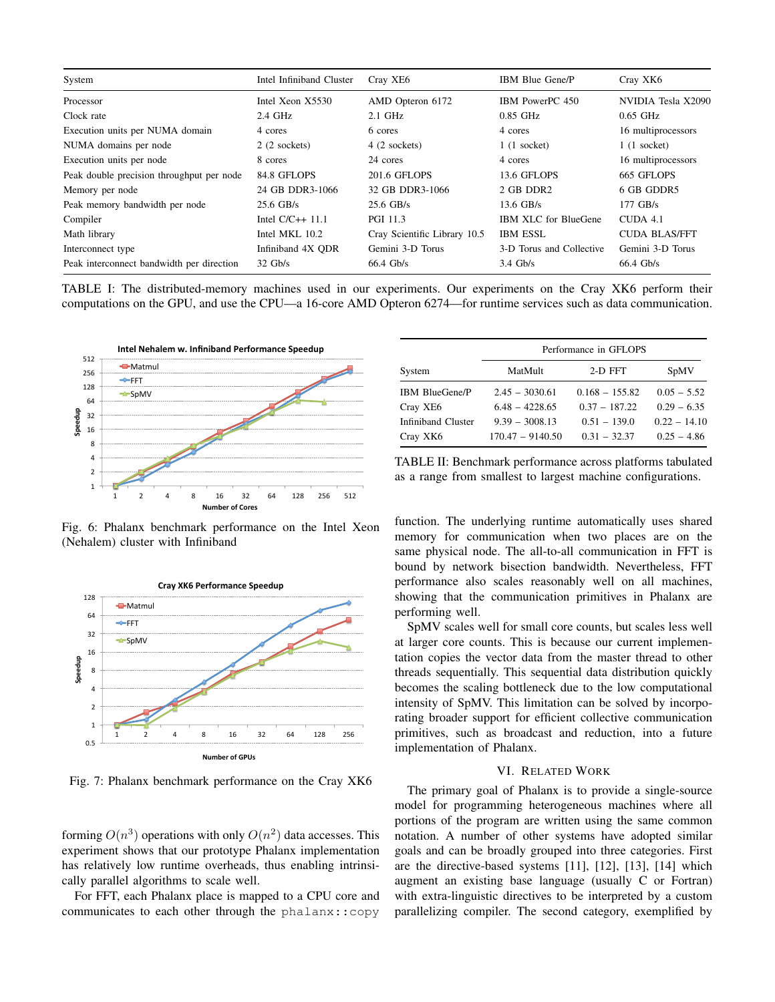| System                                    | Intel Infiniband Cluster | Cray XE6                     | <b>IBM Blue Gene/P</b>   | Cray XK6             |
|-------------------------------------------|--------------------------|------------------------------|--------------------------|----------------------|
| Processor                                 | Intel Xeon X5530         | AMD Opteron 6172             | IBM PowerPC 450          | NVIDIA Tesla X2090   |
| Clock rate                                | 2.4 GHz                  | $2.1$ GHz                    | $0.85$ GHz               | $0.65$ GHz           |
| Execution units per NUMA domain           | 4 cores                  | 6 cores                      | 4 cores                  | 16 multiprocessors   |
| NUMA domains per node                     | $2(2 \text{ sockets})$   | $4(2 \text{ sockets})$       | $1(1)$ socket)           | $1(1)$ socket)       |
| Execution units per node                  | 8 cores                  | 24 cores                     | 4 cores                  | 16 multiprocessors   |
| Peak double precision throughput per node | 84.8 GFLOPS              | 201.6 GFLOPS                 | 13.6 GFLOPS              | 665 GFLOPS           |
| Memory per node                           | 24 GB DDR3-1066          | 32 GB DDR3-1066              | 2 GB DDR2                | 6 GB GDDR5           |
| Peak memory bandwidth per node            | $25.6$ GB/s              | $25.6$ GB/s                  | $13.6$ GB/s              | $177$ GB/s           |
| Compiler                                  | Intel $C/C++11.1$        | <b>PGI 11.3</b>              | IBM XLC for BlueGene     | $CUDA$ 4.1           |
| Math library                              | Intel MKL 10.2           | Cray Scientific Library 10.5 | <b>IBM ESSL</b>          | <b>CUDA BLAS/FFT</b> |
| Interconnect type                         | Infiniband 4X ODR        | Gemini 3-D Torus             | 3-D Torus and Collective | Gemini 3-D Torus     |
| Peak interconnect bandwidth per direction | $32 \text{ Gb/s}$        | $66.4$ Gb/s                  | $3.4 \text{ Gb/s}$       | $66.4$ Gb/s          |

TABLE I: The distributed-memory machines used in our experiments. Our experiments on the Cray XK6 perform their computations on the GPU, and use the CPU—a 16-core AMD Opteron 6274—for runtime services such as data communication.



Fig. 6: Phalanx benchmark performance on the Intel Xeon (Nehalem) cluster with Infiniband



Fig. 7: Phalanx benchmark performance on the Cray XK6

forming  $O(n^3)$  operations with only  $O(n^2)$  data accesses. This experiment shows that our prototype Phalanx implementation has relatively low runtime overheads, thus enabling intrinsically parallel algorithms to scale well.

For FFT, each Phalanx place is mapped to a CPU core and communicates to each other through the phalanx::copy

|                           | Performance in GFLOPS |                  |                |  |
|---------------------------|-----------------------|------------------|----------------|--|
| System                    | MatMult               | 2-D FFT          | <b>SpMV</b>    |  |
| <b>IBM BlueGene/P</b>     | $2.45 - 3030.61$      | $0.168 - 155.82$ | $0.05 - 5.52$  |  |
| Cray XE6                  | $6.48 - 4228.65$      | $0.37 - 187.22$  | $0.29 - 6.35$  |  |
| <b>Infiniband Cluster</b> | $9.39 - 3008.13$      | $0.51 - 139.0$   | $0.22 - 14.10$ |  |
| Cray XK6                  | $170.47 - 9140.50$    | $0.31 - 32.37$   | $0.25 - 4.86$  |  |

TABLE II: Benchmark performance across platforms tabulated as a range from smallest to largest machine configurations.

function. The underlying runtime automatically uses shared memory for communication when two places are on the same physical node. The all-to-all communication in FFT is bound by network bisection bandwidth. Nevertheless, FFT performance also scales reasonably well on all machines, showing that the communication primitives in Phalanx are performing well.

SpMV scales well for small core counts, but scales less well at larger core counts. This is because our current implementation copies the vector data from the master thread to other threads sequentially. This sequential data distribution quickly becomes the scaling bottleneck due to the low computational intensity of SpMV. This limitation can be solved by incorporating broader support for efficient collective communication primitives, such as broadcast and reduction, into a future implementation of Phalanx.

# VI. RELATED WORK

The primary goal of Phalanx is to provide a single-source model for programming heterogeneous machines where all portions of the program are written using the same common notation. A number of other systems have adopted similar goals and can be broadly grouped into three categories. First are the directive-based systems [11], [12], [13], [14] which augment an existing base language (usually C or Fortran) with extra-linguistic directives to be interpreted by a custom parallelizing compiler. The second category, exemplified by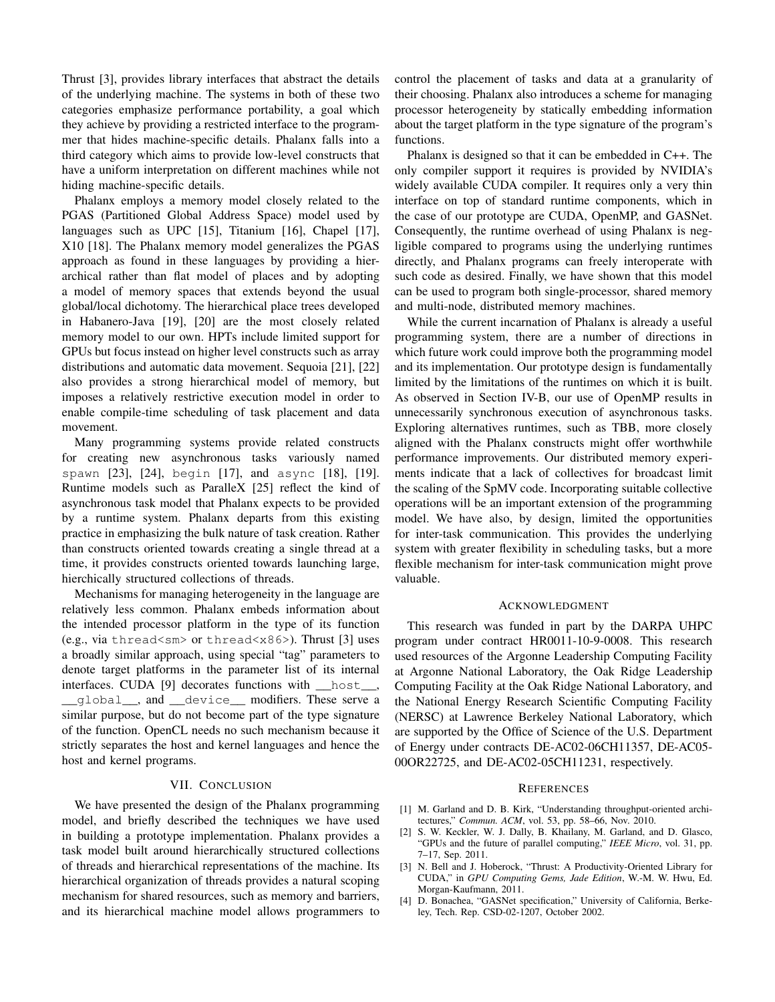Thrust [3], provides library interfaces that abstract the details of the underlying machine. The systems in both of these two categories emphasize performance portability, a goal which they achieve by providing a restricted interface to the programmer that hides machine-specific details. Phalanx falls into a third category which aims to provide low-level constructs that have a uniform interpretation on different machines while not hiding machine-specific details.

Phalanx employs a memory model closely related to the PGAS (Partitioned Global Address Space) model used by languages such as UPC [15], Titanium [16], Chapel [17], X10 [18]. The Phalanx memory model generalizes the PGAS approach as found in these languages by providing a hierarchical rather than flat model of places and by adopting a model of memory spaces that extends beyond the usual global/local dichotomy. The hierarchical place trees developed in Habanero-Java [19], [20] are the most closely related memory model to our own. HPTs include limited support for GPUs but focus instead on higher level constructs such as array distributions and automatic data movement. Sequoia [21], [22] also provides a strong hierarchical model of memory, but imposes a relatively restrictive execution model in order to enable compile-time scheduling of task placement and data movement.

Many programming systems provide related constructs for creating new asynchronous tasks variously named spawn [23], [24], begin [17], and async [18], [19]. Runtime models such as ParalleX [25] reflect the kind of asynchronous task model that Phalanx expects to be provided by a runtime system. Phalanx departs from this existing practice in emphasizing the bulk nature of task creation. Rather than constructs oriented towards creating a single thread at a time, it provides constructs oriented towards launching large, hierchically structured collections of threads.

Mechanisms for managing heterogeneity in the language are relatively less common. Phalanx embeds information about the intended processor platform in the type of its function (e.g., via thread<sm> or thread<x86>). Thrust [3] uses a broadly similar approach, using special "tag" parameters to denote target platforms in the parameter list of its internal interfaces. CUDA [9] decorates functions with host, \_\_global\_\_, and \_\_device\_\_ modifiers. These serve a similar purpose, but do not become part of the type signature of the function. OpenCL needs no such mechanism because it strictly separates the host and kernel languages and hence the host and kernel programs.

# VII. CONCLUSION

We have presented the design of the Phalanx programming model, and briefly described the techniques we have used in building a prototype implementation. Phalanx provides a task model built around hierarchically structured collections of threads and hierarchical representations of the machine. Its hierarchical organization of threads provides a natural scoping mechanism for shared resources, such as memory and barriers, and its hierarchical machine model allows programmers to control the placement of tasks and data at a granularity of their choosing. Phalanx also introduces a scheme for managing processor heterogeneity by statically embedding information about the target platform in the type signature of the program's functions.

Phalanx is designed so that it can be embedded in C++. The only compiler support it requires is provided by NVIDIA's widely available CUDA compiler. It requires only a very thin interface on top of standard runtime components, which in the case of our prototype are CUDA, OpenMP, and GASNet. Consequently, the runtime overhead of using Phalanx is negligible compared to programs using the underlying runtimes directly, and Phalanx programs can freely interoperate with such code as desired. Finally, we have shown that this model can be used to program both single-processor, shared memory and multi-node, distributed memory machines.

While the current incarnation of Phalanx is already a useful programming system, there are a number of directions in which future work could improve both the programming model and its implementation. Our prototype design is fundamentally limited by the limitations of the runtimes on which it is built. As observed in Section IV-B, our use of OpenMP results in unnecessarily synchronous execution of asynchronous tasks. Exploring alternatives runtimes, such as TBB, more closely aligned with the Phalanx constructs might offer worthwhile performance improvements. Our distributed memory experiments indicate that a lack of collectives for broadcast limit the scaling of the SpMV code. Incorporating suitable collective operations will be an important extension of the programming model. We have also, by design, limited the opportunities for inter-task communication. This provides the underlying system with greater flexibility in scheduling tasks, but a more flexible mechanism for inter-task communication might prove valuable.

# ACKNOWLEDGMENT

This research was funded in part by the DARPA UHPC program under contract HR0011-10-9-0008. This research used resources of the Argonne Leadership Computing Facility at Argonne National Laboratory, the Oak Ridge Leadership Computing Facility at the Oak Ridge National Laboratory, and the National Energy Research Scientific Computing Facility (NERSC) at Lawrence Berkeley National Laboratory, which are supported by the Office of Science of the U.S. Department of Energy under contracts DE-AC02-06CH11357, DE-AC05- 00OR22725, and DE-AC02-05CH11231, respectively.

#### **REFERENCES**

- [1] M. Garland and D. B. Kirk, "Understanding throughput-oriented architectures," *Commun. ACM*, vol. 53, pp. 58–66, Nov. 2010.
- [2] S. W. Keckler, W. J. Dally, B. Khailany, M. Garland, and D. Glasco, "GPUs and the future of parallel computing," *IEEE Micro*, vol. 31, pp. 7–17, Sep. 2011.
- [3] N. Bell and J. Hoberock, "Thrust: A Productivity-Oriented Library for CUDA," in *GPU Computing Gems, Jade Edition*, W.-M. W. Hwu, Ed. Morgan-Kaufmann, 2011.
- [4] D. Bonachea, "GASNet specification," University of California, Berkeley, Tech. Rep. CSD-02-1207, October 2002.